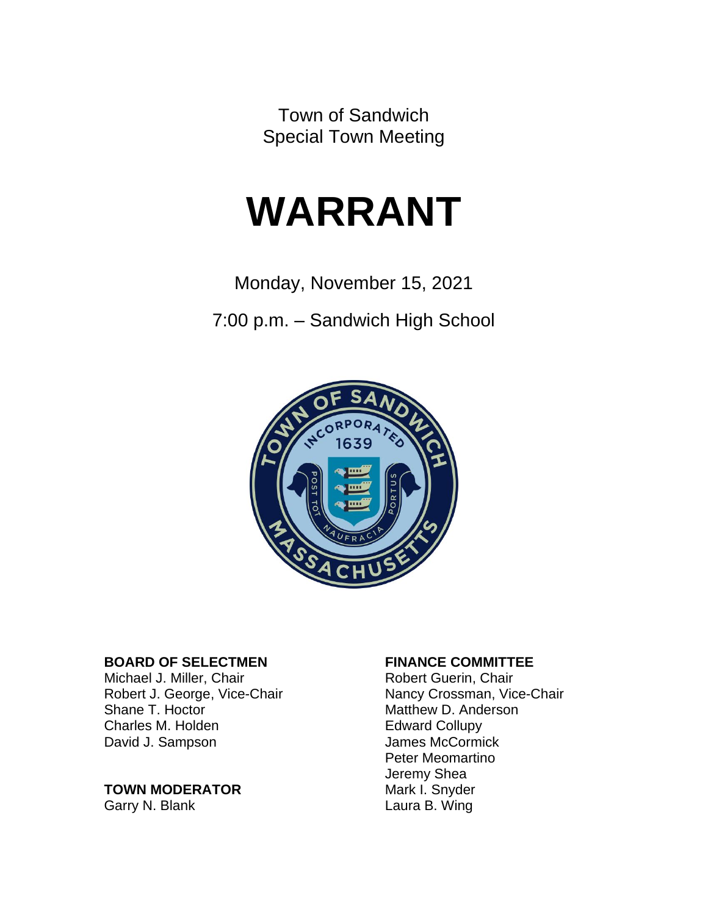Town of Sandwich Special Town Meeting

# **WARRANT**

Monday, November 15, 2021

7:00 p.m. – Sandwich High School



#### **BOARD OF SELECTMEN FINANCE COMMITTEE**

Michael J. Miller, Chair **Robert Guerin**, Chair Shane T. Hoctor **Matthew D. Anderson**<br>
Charles M. Holden **Matthew D. Anderson** Charles M. Holden David J. Sampson James McCormick

#### **TOWN MODERATOR**

Garry N. Blank Laura B. Wing

Robert J. George, Vice-Chair Nancy Crossman, Vice-Chair Peter Meomartino Jeremy Shea<br>Mark I. Snyder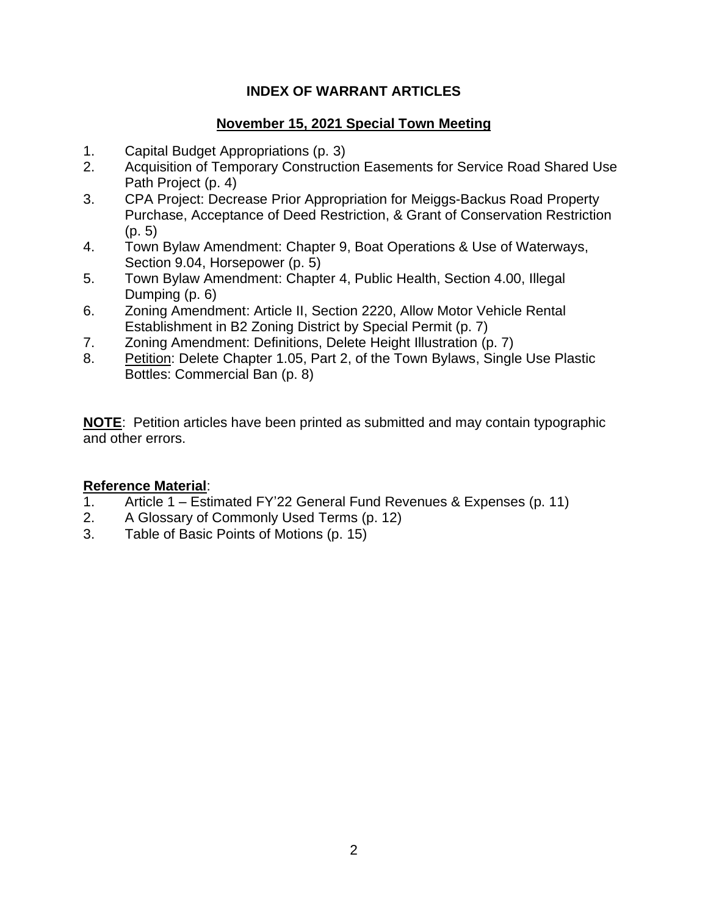#### **INDEX OF WARRANT ARTICLES**

#### **November 15, 2021 Special Town Meeting**

- 1. Capital Budget Appropriations (p. 3)
- 2. Acquisition of Temporary Construction Easements for Service Road Shared Use Path Project (p. 4)
- 3. CPA Project: Decrease Prior Appropriation for Meiggs-Backus Road Property Purchase, Acceptance of Deed Restriction, & Grant of Conservation Restriction (p. 5)
- 4. Town Bylaw Amendment: Chapter 9, Boat Operations & Use of Waterways, Section 9.04, Horsepower (p. 5)
- 5. Town Bylaw Amendment: Chapter 4, Public Health, Section 4.00, Illegal Dumping (p. 6)
- 6. Zoning Amendment: Article II, Section 2220, Allow Motor Vehicle Rental Establishment in B2 Zoning District by Special Permit (p. 7)
- 7. Zoning Amendment: Definitions, Delete Height Illustration (p. 7)
- 8. Petition: Delete Chapter 1.05, Part 2, of the Town Bylaws, Single Use Plastic Bottles: Commercial Ban (p. 8)

**NOTE**: Petition articles have been printed as submitted and may contain typographic and other errors.

#### **Reference Material**:

- 1. Article 1 Estimated FY'22 General Fund Revenues & Expenses (p. 11)
- 2. A Glossary of Commonly Used Terms (p. 12)
- 3. Table of Basic Points of Motions (p. 15)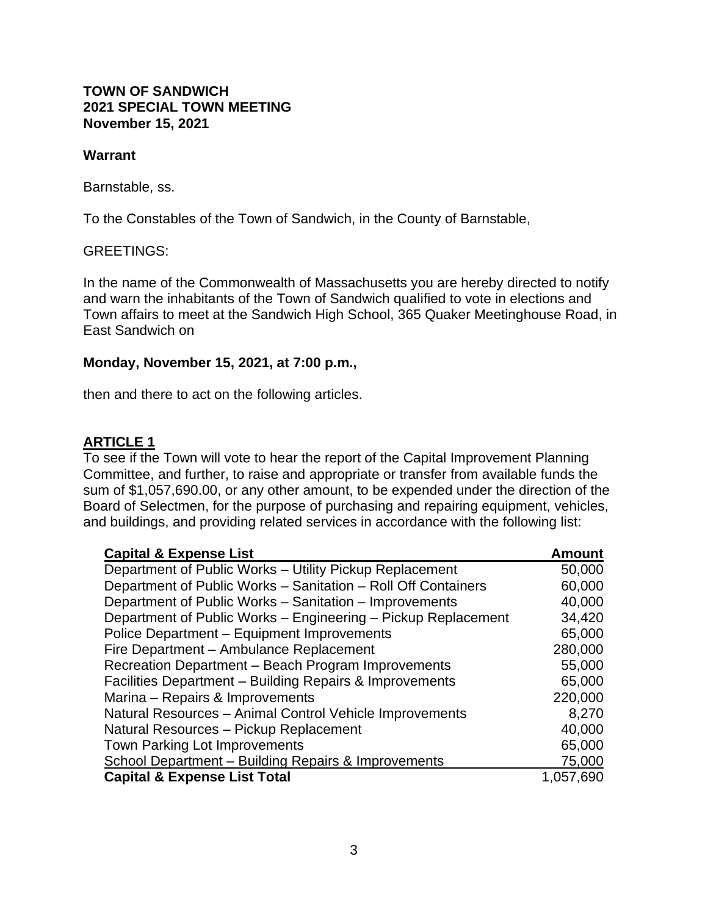#### **TOWN OF SANDWICH 2021 SPECIAL TOWN MEETING November 15, 2021**

#### **Warrant**

Barnstable, ss.

To the Constables of the Town of Sandwich, in the County of Barnstable,

#### GREETINGS:

In the name of the Commonwealth of Massachusetts you are hereby directed to notify and warn the inhabitants of the Town of Sandwich qualified to vote in elections and Town affairs to meet at the Sandwich High School, 365 Quaker Meetinghouse Road, in East Sandwich on

#### **Monday, November 15, 2021, at 7:00 p.m.,**

then and there to act on the following articles.

#### **ARTICLE 1**

To see if the Town will vote to hear the report of the Capital Improvement Planning Committee, and further, to raise and appropriate or transfer from available funds the sum of \$1,057,690.00, or any other amount, to be expended under the direction of the Board of Selectmen, for the purpose of purchasing and repairing equipment, vehicles, and buildings, and providing related services in accordance with the following list:

| <b>Capital &amp; Expense List</b>                             | <b>Amount</b> |
|---------------------------------------------------------------|---------------|
| Department of Public Works - Utility Pickup Replacement       | 50,000        |
| Department of Public Works - Sanitation - Roll Off Containers | 60,000        |
| Department of Public Works – Sanitation – Improvements        | 40,000        |
| Department of Public Works - Engineering - Pickup Replacement | 34,420        |
| Police Department - Equipment Improvements                    | 65,000        |
| Fire Department - Ambulance Replacement                       | 280,000       |
| Recreation Department - Beach Program Improvements            | 55,000        |
| Facilities Department - Building Repairs & Improvements       | 65,000        |
| Marina – Repairs & Improvements                               | 220,000       |
| Natural Resources - Animal Control Vehicle Improvements       | 8,270         |
| Natural Resources - Pickup Replacement                        | 40,000        |
| <b>Town Parking Lot Improvements</b>                          | 65,000        |
| School Department - Building Repairs & Improvements           | 75,000        |
| <b>Capital &amp; Expense List Total</b>                       | 1,057,690     |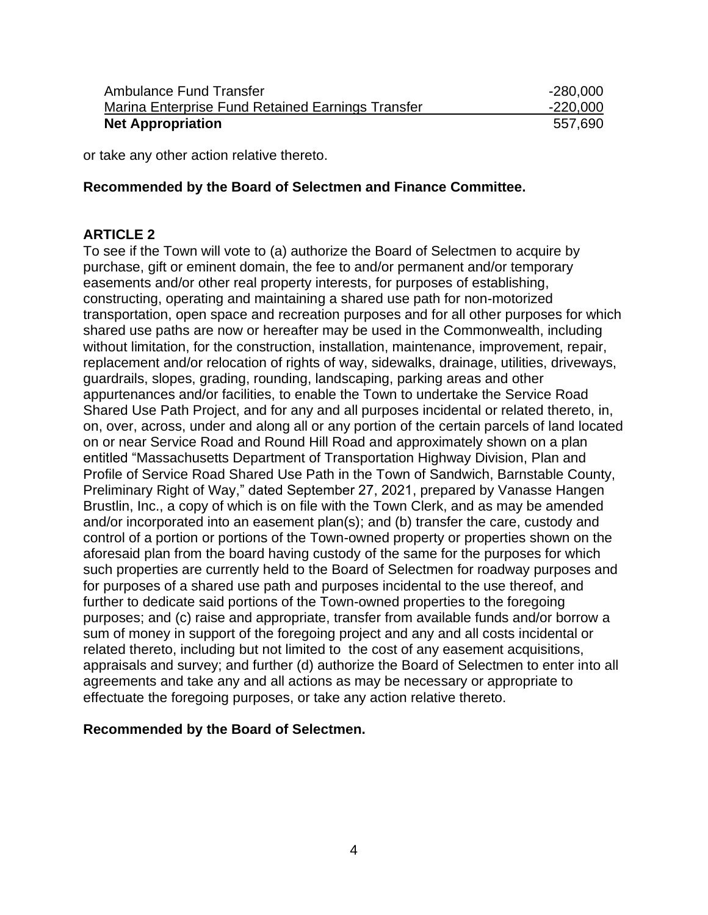| Ambulance Fund Transfer                           | $-280,000$ |
|---------------------------------------------------|------------|
| Marina Enterprise Fund Retained Earnings Transfer | $-220,000$ |
| <b>Net Appropriation</b>                          | 557,690    |

or take any other action relative thereto.

#### **Recommended by the Board of Selectmen and Finance Committee.**

#### **ARTICLE 2**

To see if the Town will vote to (a) authorize the Board of Selectmen to acquire by purchase, gift or eminent domain, the fee to and/or permanent and/or temporary easements and/or other real property interests, for purposes of establishing, constructing, operating and maintaining a shared use path for non-motorized transportation, open space and recreation purposes and for all other purposes for which shared use paths are now or hereafter may be used in the Commonwealth, including without limitation, for the construction, installation, maintenance, improvement, repair, replacement and/or relocation of rights of way, sidewalks, drainage, utilities, driveways, guardrails, slopes, grading, rounding, landscaping, parking areas and other appurtenances and/or facilities, to enable the Town to undertake the Service Road Shared Use Path Project, and for any and all purposes incidental or related thereto, in, on, over, across, under and along all or any portion of the certain parcels of land located on or near Service Road and Round Hill Road and approximately shown on a plan entitled "Massachusetts Department of Transportation Highway Division, Plan and Profile of Service Road Shared Use Path in the Town of Sandwich, Barnstable County, Preliminary Right of Way," dated September 27, 2021, prepared by Vanasse Hangen Brustlin, Inc., a copy of which is on file with the Town Clerk, and as may be amended and/or incorporated into an easement plan(s); and (b) transfer the care, custody and control of a portion or portions of the Town-owned property or properties shown on the aforesaid plan from the board having custody of the same for the purposes for which such properties are currently held to the Board of Selectmen for roadway purposes and for purposes of a shared use path and purposes incidental to the use thereof, and further to dedicate said portions of the Town-owned properties to the foregoing purposes; and (c) raise and appropriate, transfer from available funds and/or borrow a sum of money in support of the foregoing project and any and all costs incidental or related thereto, including but not limited to the cost of any easement acquisitions, appraisals and survey; and further (d) authorize the Board of Selectmen to enter into all agreements and take any and all actions as may be necessary or appropriate to effectuate the foregoing purposes, or take any action relative thereto.

#### **Recommended by the Board of Selectmen.**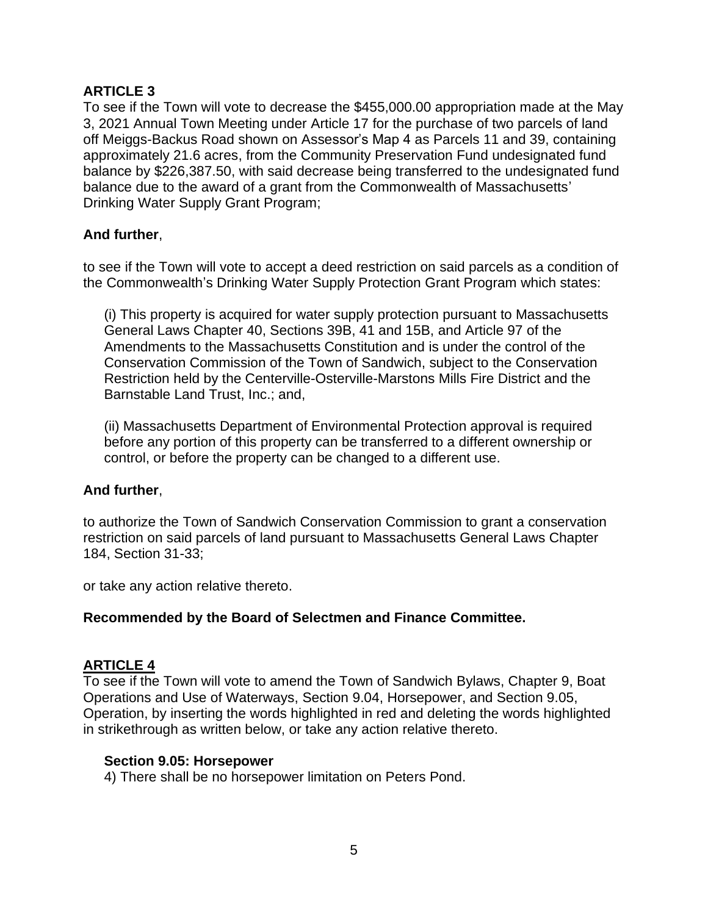#### **ARTICLE 3**

To see if the Town will vote to decrease the \$455,000.00 appropriation made at the May 3, 2021 Annual Town Meeting under Article 17 for the purchase of two parcels of land off Meiggs-Backus Road shown on Assessor's Map 4 as Parcels 11 and 39, containing approximately 21.6 acres, from the Community Preservation Fund undesignated fund balance by \$226,387.50, with said decrease being transferred to the undesignated fund balance due to the award of a grant from the Commonwealth of Massachusetts' Drinking Water Supply Grant Program;

#### **And further**,

to see if the Town will vote to accept a deed restriction on said parcels as a condition of the Commonwealth's Drinking Water Supply Protection Grant Program which states:

(i) This property is acquired for water supply protection pursuant to Massachusetts General Laws Chapter 40, Sections 39B, 41 and 15B, and Article 97 of the Amendments to the Massachusetts Constitution and is under the control of the Conservation Commission of the Town of Sandwich, subject to the Conservation Restriction held by the Centerville-Osterville-Marstons Mills Fire District and the Barnstable Land Trust, Inc.; and,

(ii) Massachusetts Department of Environmental Protection approval is required before any portion of this property can be transferred to a different ownership or control, or before the property can be changed to a different use.

#### **And further**,

to authorize the Town of Sandwich Conservation Commission to grant a conservation restriction on said parcels of land pursuant to Massachusetts General Laws Chapter 184, Section 31-33;

or take any action relative thereto.

#### **Recommended by the Board of Selectmen and Finance Committee.**

#### **ARTICLE 4**

To see if the Town will vote to amend the Town of Sandwich Bylaws, Chapter 9, Boat Operations and Use of Waterways, Section 9.04, Horsepower, and Section 9.05, Operation, by inserting the words highlighted in red and deleting the words highlighted in strikethrough as written below, or take any action relative thereto.

#### **Section 9.05: Horsepower**

4) There shall be no horsepower limitation on Peters Pond.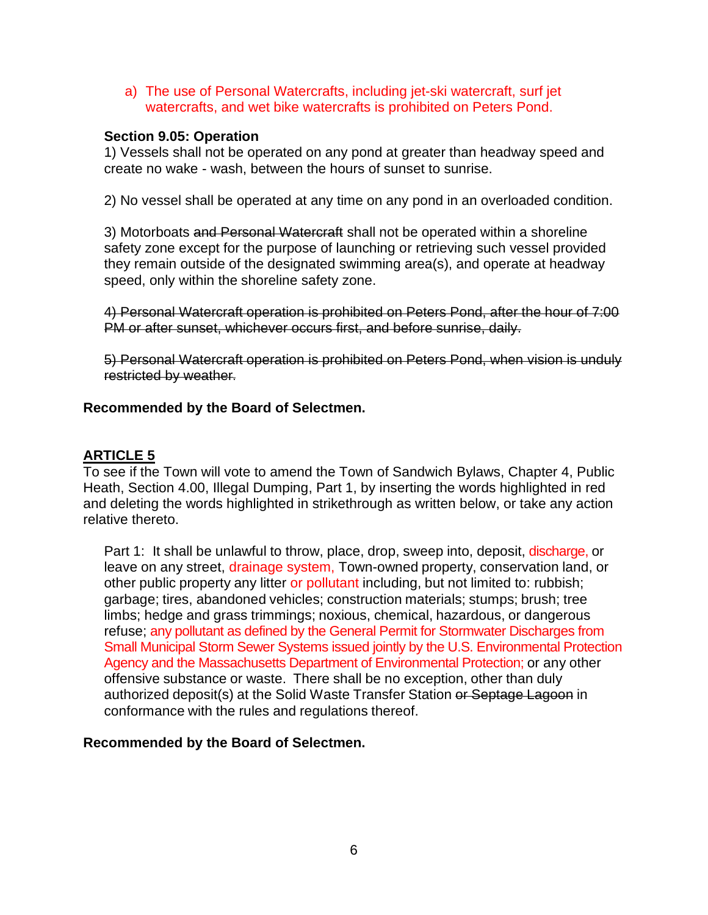a) The use of Personal Watercrafts, including jet-ski watercraft, surf jet watercrafts, and wet bike watercrafts is prohibited on Peters Pond.

#### **Section 9.05: Operation**

1) Vessels shall not be operated on any pond at greater than headway speed and create no wake - wash, between the hours of sunset to sunrise.

2) No vessel shall be operated at any time on any pond in an overloaded condition.

3) Motorboats and Personal Watercraft shall not be operated within a shoreline safety zone except for the purpose of launching or retrieving such vessel provided they remain outside of the designated swimming area(s), and operate at headway speed, only within the shoreline safety zone.

4) Personal Watercraft operation is prohibited on Peters Pond, after the hour of 7:00 PM or after sunset, whichever occurs first, and before sunrise, daily.

5) Personal Watercraft operation is prohibited on Peters Pond, when vision is unduly restricted by weather.

#### **Recommended by the Board of Selectmen.**

#### **ARTICLE 5**

To see if the Town will vote to amend the Town of Sandwich Bylaws, Chapter 4, Public Heath, Section 4.00, Illegal Dumping, Part 1, by inserting the words highlighted in red and deleting the words highlighted in strikethrough as written below, or take any action relative thereto.

Part 1: It shall be unlawful to throw, place, drop, sweep into, deposit, discharge, or leave on any street, drainage system, Town-owned property, conservation land, or other public property any litter or pollutant including, but not limited to: rubbish; garbage; tires, abandoned vehicles; construction materials; stumps; brush; tree limbs; hedge and grass trimmings; noxious, chemical, hazardous, or dangerous refuse; any pollutant as defined by the General Permit for Stormwater Discharges from Small Municipal Storm Sewer Systems issued jointly by the U.S. Environmental Protection Agency and the Massachusetts Department of Environmental Protection; or any other offensive substance or waste. There shall be no exception, other than duly authorized deposit(s) at the Solid Waste Transfer Station or Septage Lagoon in conformance with the rules and regulations thereof.

#### **Recommended by the Board of Selectmen.**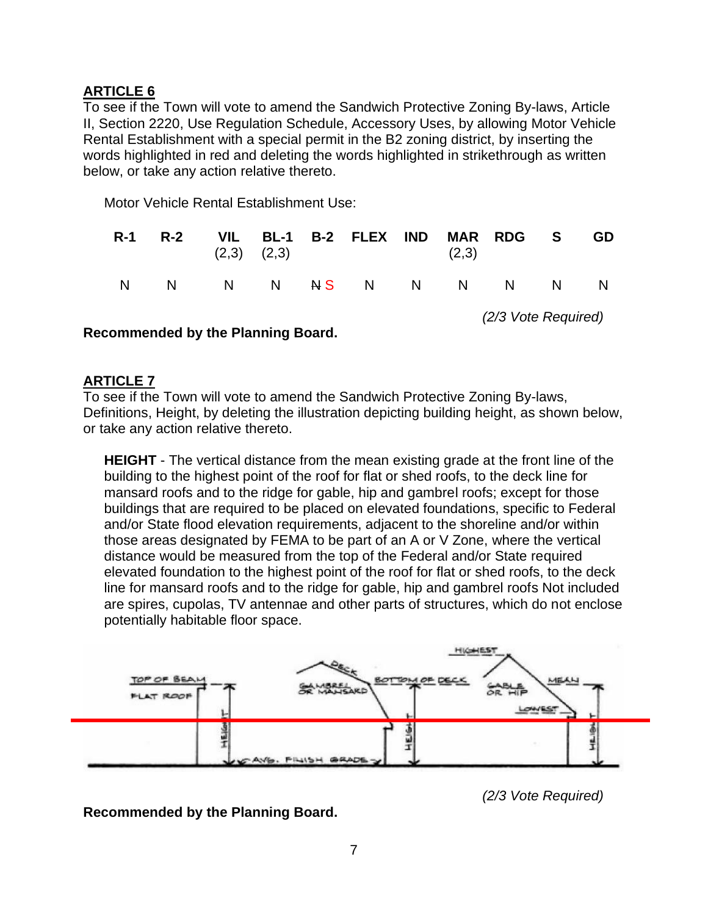#### **ARTICLE 6**

To see if the Town will vote to amend the Sandwich Protective Zoning By-laws, Article II, Section 2220, Use Regulation Schedule, Accessory Uses, by allowing Motor Vehicle Rental Establishment with a special permit in the B2 zoning district, by inserting the words highlighted in red and deleting the words highlighted in strikethrough as written below, or take any action relative thereto.

Motor Vehicle Rental Establishment Use:

|  | $(2,3)$ $(2,3)$ | R-1 R-2 VIL BL-1 B-2 FLEX IND MAR RDG S | (2,3) |  | GD |
|--|-----------------|-----------------------------------------|-------|--|----|
|  |                 | N N N N <del>N</del> S N N N N N N      |       |  |    |

*(2/3 Vote Required)*

**Recommended by the Planning Board.**

#### **ARTICLE 7**

To see if the Town will vote to amend the Sandwich Protective Zoning By-laws, Definitions, Height, by deleting the illustration depicting building height, as shown below, or take any action relative thereto.

**HEIGHT** - The vertical distance from the mean existing grade at the front line of the building to the highest point of the roof for flat or shed roofs, to the deck line for mansard roofs and to the ridge for gable, hip and gambrel roofs; except for those buildings that are required to be placed on elevated foundations, specific to Federal and/or State flood elevation requirements, adjacent to the shoreline and/or within those areas designated by FEMA to be part of an A or V Zone, where the vertical distance would be measured from the top of the Federal and/or State required elevated foundation to the highest point of the roof for flat or shed roofs, to the deck line for mansard roofs and to the ridge for gable, hip and gambrel roofs Not included are spires, cupolas, TV antennae and other parts of structures, which do not enclose potentially habitable floor space.



*(2/3 Vote Required)*

**Recommended by the Planning Board.**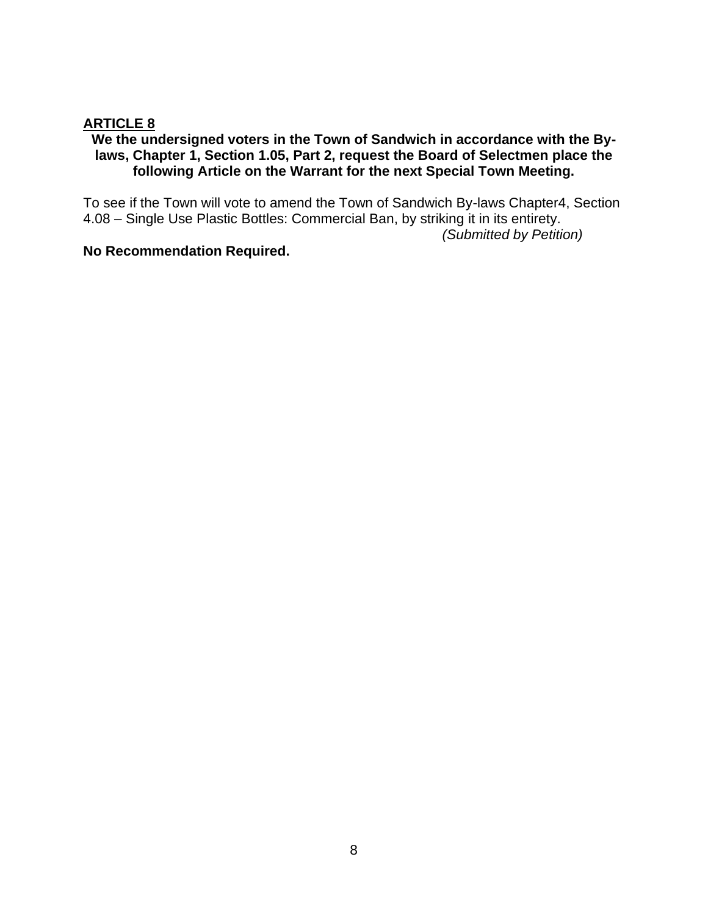#### **ARTICLE 8**

#### **We the undersigned voters in the Town of Sandwich in accordance with the Bylaws, Chapter 1, Section 1.05, Part 2, request the Board of Selectmen place the following Article on the Warrant for the next Special Town Meeting.**

To see if the Town will vote to amend the Town of Sandwich By-laws Chapter4, Section 4.08 – Single Use Plastic Bottles: Commercial Ban, by striking it in its entirety.

*(Submitted by Petition)*

#### **No Recommendation Required.**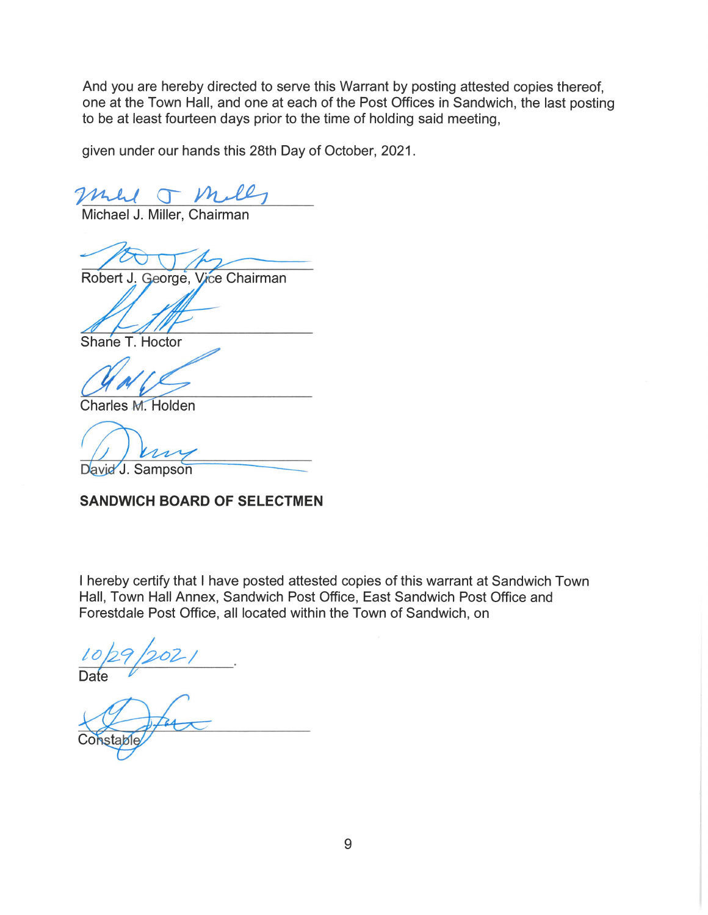And you are hereby directed to serve this Warrant by posting attested copies thereof, one at the Town Hall, and one at each of the Post Offices in Sandwich, the last posting to be at least fourteen days prior to the time of holding said meeting,

given under our hands this 28th Day of October, 2021.

mul TM.

Michael J. Miller, Chairman

Robert J. George, Vice Chairman

Shane T. Hoctor

Charles M. Holden

 $n_{\lambda}$ 

David J. Sampson

#### **SANDWICH BOARD OF SELECTMEN**

I hereby certify that I have posted attested copies of this warrant at Sandwich Town Hall, Town Hall Annex, Sandwich Post Office, East Sandwich Post Office and Forestdale Post Office, all located within the Town of Sandwich, on

Constable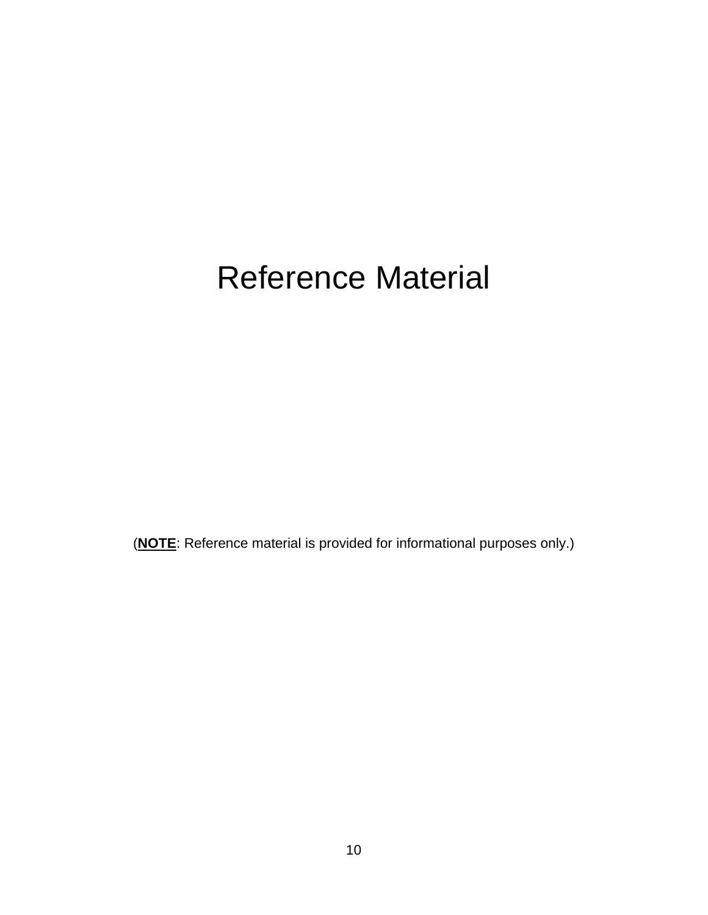## Reference Material

(**NOTE**: Reference material is provided for informational purposes only.)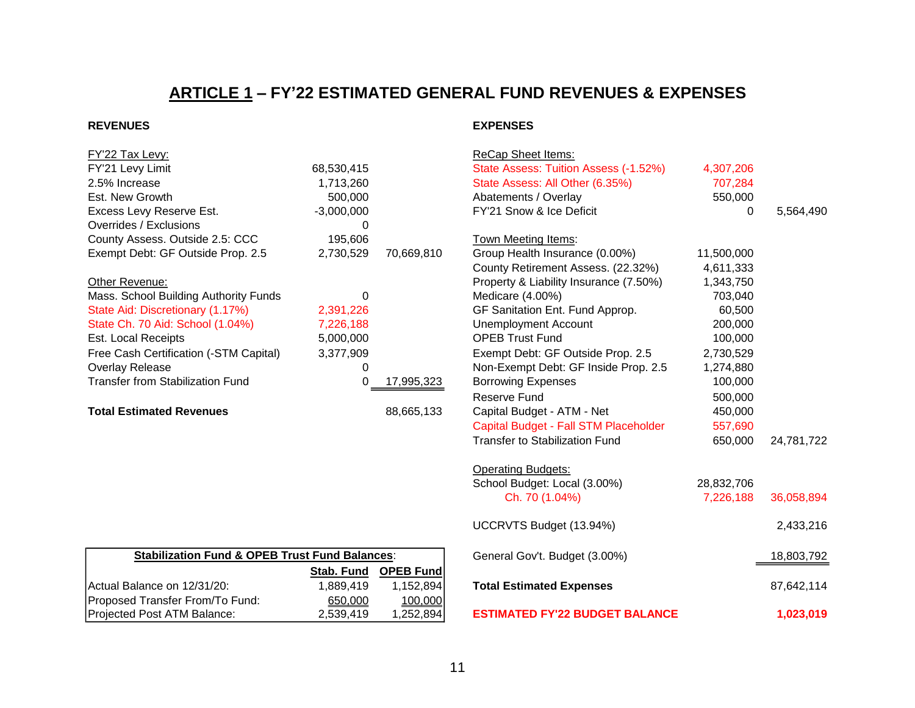## **ARTICLE 1 – FY'22 ESTIMATED GENERAL FUND REVENUES & EXPENSES**

| FY'22 Tax Levy:                         |              |            | <b>ReCap Sheet Items:</b>              |            |
|-----------------------------------------|--------------|------------|----------------------------------------|------------|
| FY'21 Levy Limit                        | 68,530,415   |            | State Assess: Tuition Assess (-1.52%)  | 4,307,206  |
| 2.5% Increase                           | 1,713,260    |            | State Assess: All Other (6.35%)        | 707,284    |
| Est. New Growth                         | 500,000      |            | Abatements / Overlay                   | 550,000    |
| Excess Levy Reserve Est.                | $-3,000,000$ |            | FY'21 Snow & Ice Deficit               | 0          |
| Overrides / Exclusions                  |              |            |                                        |            |
| County Assess. Outside 2.5: CCC         | 195,606      |            | Town Meeting Items:                    |            |
| Exempt Debt: GF Outside Prop. 2.5       | 2,730,529    | 70,669,810 | Group Health Insurance (0.00%)         | 11,500,000 |
|                                         |              |            | County Retirement Assess. (22.32%)     | 4,611,333  |
| Other Revenue:                          |              |            | Property & Liability Insurance (7.50%) | 1,343,750  |
| Mass. School Building Authority Funds   | 0            |            | Medicare (4.00%)                       | 703,040    |
| State Aid: Discretionary (1.17%)        | 2,391,226    |            | GF Sanitation Ent. Fund Approp.        | 60,500     |
| State Ch. 70 Aid: School (1.04%)        | 7,226,188    |            | Unemployment Account                   | 200,000    |
| Est. Local Receipts                     | 5,000,000    |            | <b>OPEB Trust Fund</b>                 | 100,000    |
| Free Cash Certification (-STM Capital)  | 3,377,909    |            | Exempt Debt: GF Outside Prop. 2.5      | 2,730,529  |
| Overlay Release                         |              |            | Non-Exempt Debt: GF Inside Prop. 2.5   | 1,274,880  |
| <b>Transfer from Stabilization Fund</b> |              | 17,995,323 | <b>Borrowing Expenses</b>              | 100,000    |
|                                         |              |            | Reserve Fund                           | 500,000    |
| <b>Total Estimated Revenues</b>         |              | 88,665,133 | Capital Budget - ATM - Net             | 450,000    |

| <b>Stabilization Fund &amp; OPEB Trust Fund Balances:</b> |           |                      |  |  |  |  |
|-----------------------------------------------------------|-----------|----------------------|--|--|--|--|
|                                                           |           | Stab. Fund OPEB Fund |  |  |  |  |
| Actual Balance on 12/31/20:                               | 1.889.419 | 1.152.894            |  |  |  |  |
| Proposed Transfer From/To Fund:                           | 650,000   | 100,000              |  |  |  |  |
| Projected Post ATM Balance:                               | 2,539,419 | 1,252,894            |  |  |  |  |

#### **REVENUES EXPENSES**

| FY'22 Tax Levy:                                           |              |                  | <b>ReCap Sheet Items:</b>                                            |                        |            |
|-----------------------------------------------------------|--------------|------------------|----------------------------------------------------------------------|------------------------|------------|
| FY'21 Levy Limit                                          | 68,530,415   |                  | State Assess: Tuition Assess (-1.52%)                                | 4,307,206              |            |
| 2.5% Increase                                             | 1,713,260    |                  | State Assess: All Other (6.35%)                                      | 707,284                |            |
| Est. New Growth                                           | 500,000      |                  | Abatements / Overlay                                                 | 550,000                |            |
| Excess Levy Reserve Est.                                  | $-3,000,000$ |                  | FY'21 Snow & Ice Deficit                                             | $\mathbf{0}$           | 5,564,490  |
| Overrides / Exclusions                                    | 0            |                  |                                                                      |                        |            |
| County Assess. Outside 2.5: CCC                           | 195,606      |                  | Town Meeting Items:                                                  |                        |            |
| Exempt Debt: GF Outside Prop. 2.5                         | 2,730,529    | 70,669,810       | Group Health Insurance (0.00%)<br>County Retirement Assess. (22.32%) | 11,500,000             |            |
|                                                           |              |                  | Property & Liability Insurance (7.50%)                               | 4,611,333<br>1,343,750 |            |
| Other Revenue:<br>Mass. School Building Authority Funds   | 0            |                  | Medicare (4.00%)                                                     | 703,040                |            |
| State Aid: Discretionary (1.17%)                          | 2,391,226    |                  | GF Sanitation Ent. Fund Approp.                                      | 60,500                 |            |
| State Ch. 70 Aid: School (1.04%)                          | 7,226,188    |                  | <b>Unemployment Account</b>                                          | 200,000                |            |
| <b>Est. Local Receipts</b>                                | 5,000,000    |                  | <b>OPEB Trust Fund</b>                                               | 100,000                |            |
| Free Cash Certification (-STM Capital)                    | 3,377,909    |                  | Exempt Debt: GF Outside Prop. 2.5                                    | 2,730,529              |            |
| Overlay Release                                           | 0            |                  | Non-Exempt Debt: GF Inside Prop. 2.5                                 | 1,274,880              |            |
| <b>Transfer from Stabilization Fund</b>                   | 0            | 17,995,323       | <b>Borrowing Expenses</b>                                            | 100,000                |            |
|                                                           |              |                  | Reserve Fund                                                         | 500,000                |            |
| <b>Total Estimated Revenues</b>                           |              | 88,665,133       | Capital Budget - ATM - Net                                           | 450,000                |            |
|                                                           |              |                  | Capital Budget - Fall STM Placeholder                                | 557,690                |            |
|                                                           |              |                  | <b>Transfer to Stabilization Fund</b>                                | 650,000                | 24,781,722 |
|                                                           |              |                  | <b>Operating Budgets:</b>                                            |                        |            |
|                                                           |              |                  | School Budget: Local (3.00%)                                         | 28,832,706             |            |
|                                                           |              |                  | Ch. 70 (1.04%)                                                       | 7,226,188              | 36,058,894 |
|                                                           |              |                  | UCCRVTS Budget (13.94%)                                              |                        | 2,433,216  |
| <b>Stabilization Fund &amp; OPEB Trust Fund Balances:</b> |              |                  | General Gov't. Budget (3.00%)                                        |                        | 18,803,792 |
|                                                           | Stab. Fund   | <b>OPEB Fund</b> |                                                                      |                        |            |
| Actual Balance on 12/31/20:                               | 1,889,419    | 1,152,894        | <b>Total Estimated Expenses</b>                                      |                        | 87,642,114 |
| Proposed Transfer From/To Fund:                           | 650,000      | 100,000          |                                                                      |                        |            |
| Projected Post ATM Balance:                               | 2,539,419    | 1,252,894        | <b>ESTIMATED FY'22 BUDGET BALANCE</b>                                |                        | 1,023,019  |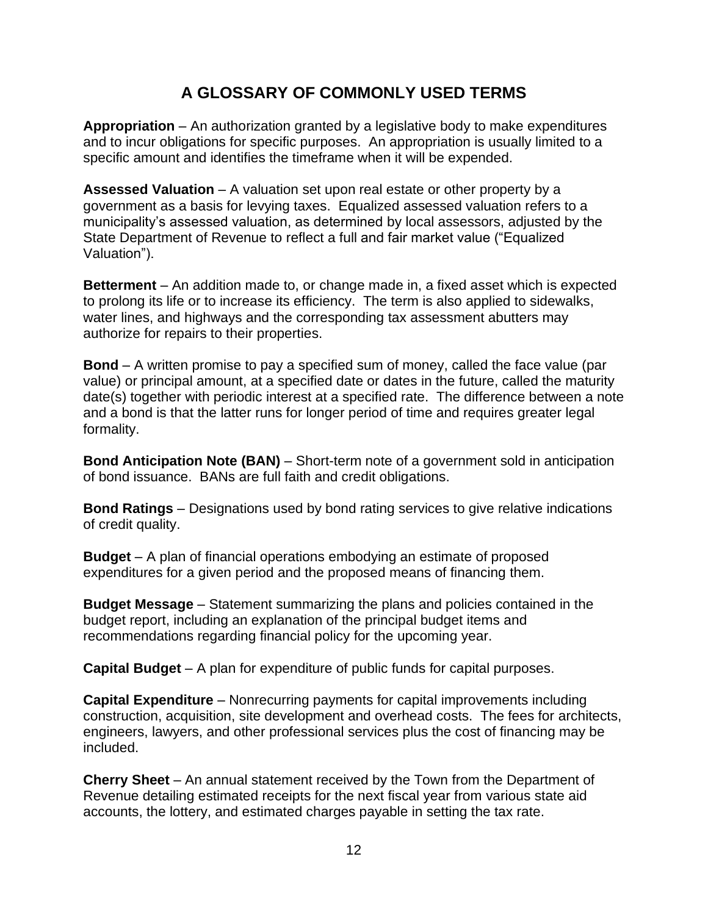#### **A GLOSSARY OF COMMONLY USED TERMS**

**Appropriation** – An authorization granted by a legislative body to make expenditures and to incur obligations for specific purposes. An appropriation is usually limited to a specific amount and identifies the timeframe when it will be expended.

**Assessed Valuation** – A valuation set upon real estate or other property by a government as a basis for levying taxes. Equalized assessed valuation refers to a municipality's assessed valuation, as determined by local assessors, adjusted by the State Department of Revenue to reflect a full and fair market value ("Equalized Valuation").

**Betterment** – An addition made to, or change made in, a fixed asset which is expected to prolong its life or to increase its efficiency. The term is also applied to sidewalks, water lines, and highways and the corresponding tax assessment abutters may authorize for repairs to their properties.

**Bond** – A written promise to pay a specified sum of money, called the face value (par value) or principal amount, at a specified date or dates in the future, called the maturity date(s) together with periodic interest at a specified rate. The difference between a note and a bond is that the latter runs for longer period of time and requires greater legal formality.

**Bond Anticipation Note (BAN)** – Short-term note of a government sold in anticipation of bond issuance. BANs are full faith and credit obligations.

**Bond Ratings** – Designations used by bond rating services to give relative indications of credit quality.

**Budget** – A plan of financial operations embodying an estimate of proposed expenditures for a given period and the proposed means of financing them.

**Budget Message** – Statement summarizing the plans and policies contained in the budget report, including an explanation of the principal budget items and recommendations regarding financial policy for the upcoming year.

**Capital Budget** – A plan for expenditure of public funds for capital purposes.

**Capital Expenditure** – Nonrecurring payments for capital improvements including construction, acquisition, site development and overhead costs. The fees for architects, engineers, lawyers, and other professional services plus the cost of financing may be included.

**Cherry Sheet** – An annual statement received by the Town from the Department of Revenue detailing estimated receipts for the next fiscal year from various state aid accounts, the lottery, and estimated charges payable in setting the tax rate.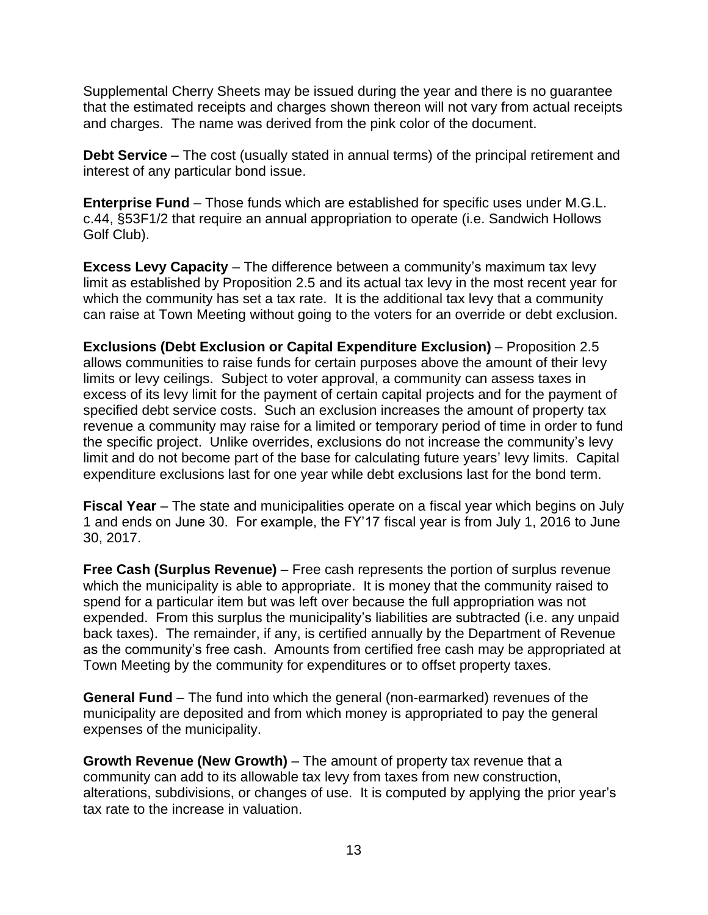Supplemental Cherry Sheets may be issued during the year and there is no guarantee that the estimated receipts and charges shown thereon will not vary from actual receipts and charges. The name was derived from the pink color of the document.

**Debt Service** – The cost (usually stated in annual terms) of the principal retirement and interest of any particular bond issue.

**Enterprise Fund** – Those funds which are established for specific uses under M.G.L. c.44, §53F1/2 that require an annual appropriation to operate (i.e. Sandwich Hollows Golf Club).

**Excess Levy Capacity** – The difference between a community's maximum tax levy limit as established by Proposition 2.5 and its actual tax levy in the most recent year for which the community has set a tax rate. It is the additional tax levy that a community can raise at Town Meeting without going to the voters for an override or debt exclusion.

**Exclusions (Debt Exclusion or Capital Expenditure Exclusion)** – Proposition 2.5 allows communities to raise funds for certain purposes above the amount of their levy limits or levy ceilings. Subject to voter approval, a community can assess taxes in excess of its levy limit for the payment of certain capital projects and for the payment of specified debt service costs. Such an exclusion increases the amount of property tax revenue a community may raise for a limited or temporary period of time in order to fund the specific project. Unlike overrides, exclusions do not increase the community's levy limit and do not become part of the base for calculating future years' levy limits. Capital expenditure exclusions last for one year while debt exclusions last for the bond term.

**Fiscal Year** – The state and municipalities operate on a fiscal year which begins on July 1 and ends on June 30. For example, the FY'17 fiscal year is from July 1, 2016 to June 30, 2017.

**Free Cash (Surplus Revenue)** – Free cash represents the portion of surplus revenue which the municipality is able to appropriate. It is money that the community raised to spend for a particular item but was left over because the full appropriation was not expended. From this surplus the municipality's liabilities are subtracted (i.e. any unpaid back taxes). The remainder, if any, is certified annually by the Department of Revenue as the community's free cash. Amounts from certified free cash may be appropriated at Town Meeting by the community for expenditures or to offset property taxes.

**General Fund** – The fund into which the general (non-earmarked) revenues of the municipality are deposited and from which money is appropriated to pay the general expenses of the municipality.

**Growth Revenue (New Growth)** – The amount of property tax revenue that a community can add to its allowable tax levy from taxes from new construction, alterations, subdivisions, or changes of use. It is computed by applying the prior year's tax rate to the increase in valuation.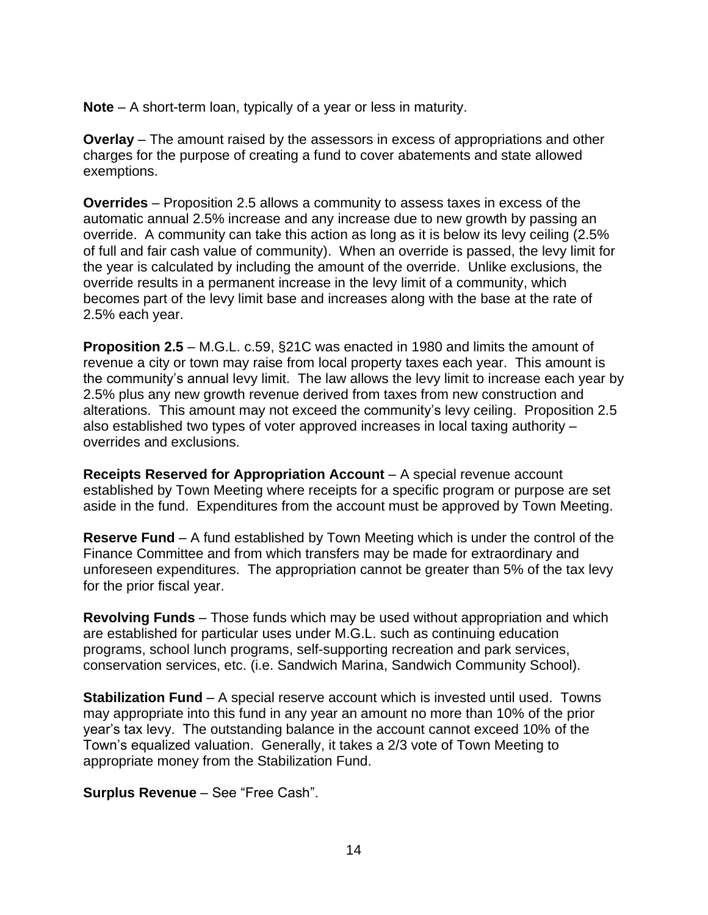**Note** – A short-term loan, typically of a year or less in maturity.

**Overlay** – The amount raised by the assessors in excess of appropriations and other charges for the purpose of creating a fund to cover abatements and state allowed exemptions.

**Overrides** – Proposition 2.5 allows a community to assess taxes in excess of the automatic annual 2.5% increase and any increase due to new growth by passing an override. A community can take this action as long as it is below its levy ceiling (2.5% of full and fair cash value of community). When an override is passed, the levy limit for the year is calculated by including the amount of the override. Unlike exclusions, the override results in a permanent increase in the levy limit of a community, which becomes part of the levy limit base and increases along with the base at the rate of 2.5% each year.

**Proposition 2.5** – M.G.L. c.59, §21C was enacted in 1980 and limits the amount of revenue a city or town may raise from local property taxes each year. This amount is the community's annual levy limit. The law allows the levy limit to increase each year by 2.5% plus any new growth revenue derived from taxes from new construction and alterations. This amount may not exceed the community's levy ceiling. Proposition 2.5 also established two types of voter approved increases in local taxing authority – overrides and exclusions.

**Receipts Reserved for Appropriation Account** – A special revenue account established by Town Meeting where receipts for a specific program or purpose are set aside in the fund. Expenditures from the account must be approved by Town Meeting.

**Reserve Fund** – A fund established by Town Meeting which is under the control of the Finance Committee and from which transfers may be made for extraordinary and unforeseen expenditures. The appropriation cannot be greater than 5% of the tax levy for the prior fiscal year.

**Revolving Funds** – Those funds which may be used without appropriation and which are established for particular uses under M.G.L. such as continuing education programs, school lunch programs, self-supporting recreation and park services, conservation services, etc. (i.e. Sandwich Marina, Sandwich Community School).

**Stabilization Fund** – A special reserve account which is invested until used. Towns may appropriate into this fund in any year an amount no more than 10% of the prior year's tax levy. The outstanding balance in the account cannot exceed 10% of the Town's equalized valuation. Generally, it takes a 2/3 vote of Town Meeting to appropriate money from the Stabilization Fund.

**Surplus Revenue** – See "Free Cash".